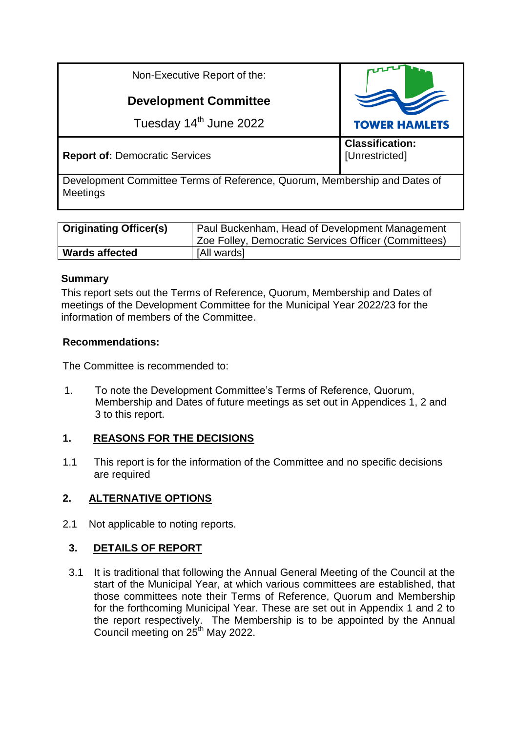| Non-Executive Report of the:          |                                          |
|---------------------------------------|------------------------------------------|
| <b>Development Committee</b>          |                                          |
| Tuesday 14 <sup>th</sup> June 2022    | <b>TOWER HAMLETS</b>                     |
| <b>Report of: Democratic Services</b> | <b>Classification:</b><br>[Unrestricted] |

Development Committee Terms of Reference, Quorum, Membership and Dates of **Meetings** 

| <b>Originating Officer(s)</b> | Paul Buckenham, Head of Development Management<br><sup>1</sup> Zoe Folley, Democratic Services Officer (Committees) |
|-------------------------------|---------------------------------------------------------------------------------------------------------------------|
| <b>Wards affected</b>         | [All wards]                                                                                                         |

#### **Summary**

This report sets out the Terms of Reference, Quorum, Membership and Dates of meetings of the Development Committee for the Municipal Year 2022/23 for the information of members of the Committee.

#### **Recommendations:**

The Committee is recommended to:

1. To note the Development Committee's Terms of Reference, Quorum, Membership and Dates of future meetings as set out in Appendices 1, 2 and 3 to this report.

## **1. REASONS FOR THE DECISIONS**

1.1 This report is for the information of the Committee and no specific decisions are required

## **2. ALTERNATIVE OPTIONS**

2.1 Not applicable to noting reports.

## **3. DETAILS OF REPORT**

3.1 It is traditional that following the Annual General Meeting of the Council at the start of the Municipal Year, at which various committees are established, that those committees note their Terms of Reference, Quorum and Membership for the forthcoming Municipal Year. These are set out in Appendix 1 and 2 to the report respectively. The Membership is to be appointed by the Annual Council meeting on 25<sup>th</sup> May 2022.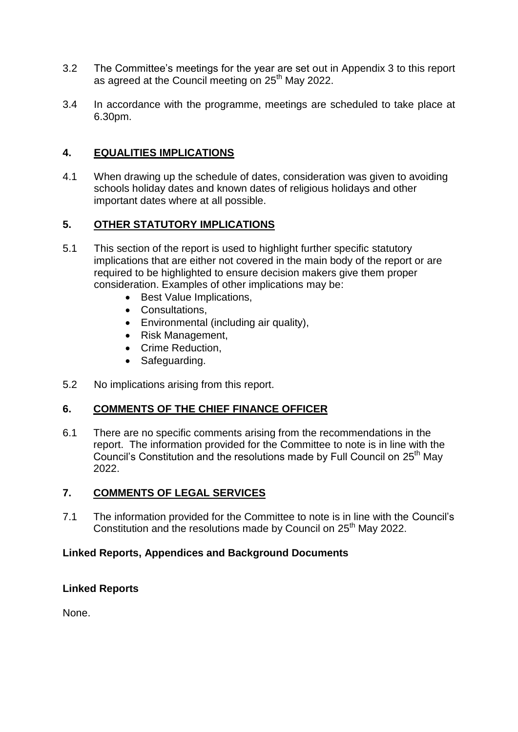- 3.2 The Committee's meetings for the year are set out in Appendix 3 to this report as agreed at the Council meeting on 25<sup>th</sup> May 2022.
- 3.4 In accordance with the programme, meetings are scheduled to take place at 6.30pm.

## **4. EQUALITIES IMPLICATIONS**

4.1 When drawing up the schedule of dates, consideration was given to avoiding schools holiday dates and known dates of religious holidays and other important dates where at all possible.

# **5. OTHER STATUTORY IMPLICATIONS**

- 5.1 This section of the report is used to highlight further specific statutory implications that are either not covered in the main body of the report or are required to be highlighted to ensure decision makers give them proper consideration. Examples of other implications may be:
	- Best Value Implications,
	- Consultations,
	- Environmental (including air quality),
	- Risk Management,
	- Crime Reduction.
	- Safeguarding.
- 5.2 No implications arising from this report.

## **6. COMMENTS OF THE CHIEF FINANCE OFFICER**

6.1 There are no specific comments arising from the recommendations in the report. The information provided for the Committee to note is in line with the Council's Constitution and the resolutions made by Full Council on 25<sup>th</sup> May 2022.

## **7. COMMENTS OF LEGAL SERVICES**

7.1 The information provided for the Committee to note is in line with the Council's Constitution and the resolutions made by Council on 25<sup>th</sup> May 2022.

## **Linked Reports, Appendices and Background Documents**

## **Linked Reports**

None.